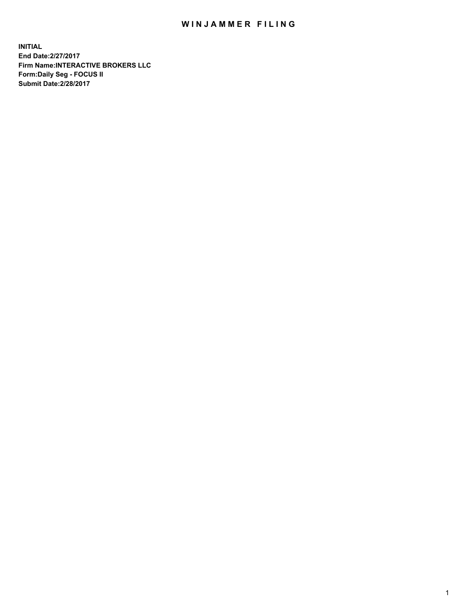## WIN JAMMER FILING

**INITIAL End Date:2/27/2017 Firm Name:INTERACTIVE BROKERS LLC Form:Daily Seg - FOCUS II Submit Date:2/28/2017**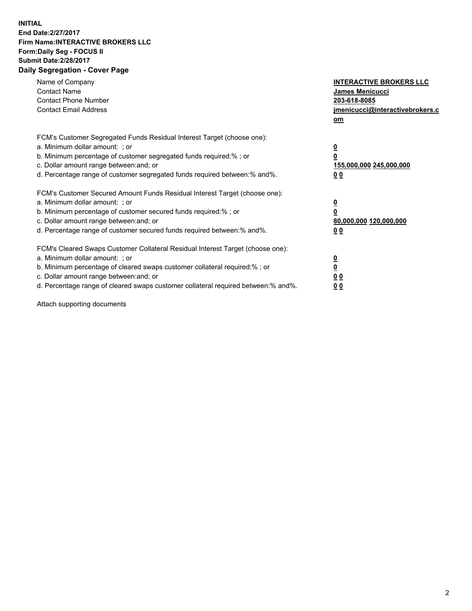## **INITIAL End Date:2/27/2017 Firm Name:INTERACTIVE BROKERS LLC Form:Daily Seg - FOCUS II Submit Date:2/28/2017 Daily Segregation - Cover Page**

| Name of Company<br><b>Contact Name</b><br><b>Contact Phone Number</b><br><b>Contact Email Address</b>                                                                                                                                                                                                                          | <b>INTERACTIVE BROKERS LLC</b><br><b>James Menicucci</b><br>203-618-8085<br>jmenicucci@interactivebrokers.c<br>om |
|--------------------------------------------------------------------------------------------------------------------------------------------------------------------------------------------------------------------------------------------------------------------------------------------------------------------------------|-------------------------------------------------------------------------------------------------------------------|
| FCM's Customer Segregated Funds Residual Interest Target (choose one):<br>a. Minimum dollar amount: ; or<br>b. Minimum percentage of customer segregated funds required:%; or<br>c. Dollar amount range between: and; or<br>d. Percentage range of customer segregated funds required between:% and%.                          | $\overline{\mathbf{0}}$<br>0<br>155,000,000 245,000,000<br>0 <sub>0</sub>                                         |
| FCM's Customer Secured Amount Funds Residual Interest Target (choose one):<br>a. Minimum dollar amount: ; or<br>b. Minimum percentage of customer secured funds required:%; or<br>c. Dollar amount range between: and; or<br>d. Percentage range of customer secured funds required between: % and %.                          | $\overline{\mathbf{0}}$<br>0<br>80,000,000 120,000,000<br>00                                                      |
| FCM's Cleared Swaps Customer Collateral Residual Interest Target (choose one):<br>a. Minimum dollar amount: ; or<br>b. Minimum percentage of cleared swaps customer collateral required:% ; or<br>c. Dollar amount range between: and; or<br>d. Percentage range of cleared swaps customer collateral required between:% and%. | $\overline{\mathbf{0}}$<br>$\overline{\mathbf{0}}$<br>0 <sub>0</sub><br><u>00</u>                                 |

Attach supporting documents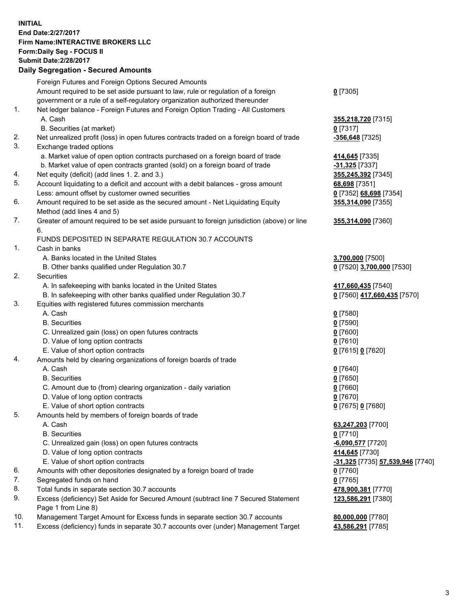## **INITIAL End Date:2/27/2017 Firm Name:INTERACTIVE BROKERS LLC Form:Daily Seg - FOCUS II Submit Date:2/28/2017 Daily Segregation - Secured Amounts**

|     | Dany Ocgregation - Oceanea Annoanta                                                                        |                                  |
|-----|------------------------------------------------------------------------------------------------------------|----------------------------------|
|     | Foreign Futures and Foreign Options Secured Amounts                                                        |                                  |
|     | Amount required to be set aside pursuant to law, rule or regulation of a foreign                           | $0$ [7305]                       |
|     | government or a rule of a self-regulatory organization authorized thereunder                               |                                  |
| 1.  | Net ledger balance - Foreign Futures and Foreign Option Trading - All Customers                            |                                  |
|     | A. Cash                                                                                                    | 355,218,720 [7315]               |
|     | B. Securities (at market)                                                                                  | $0$ [7317]                       |
| 2.  | Net unrealized profit (loss) in open futures contracts traded on a foreign board of trade                  | -356,648 [7325]                  |
| 3.  | Exchange traded options                                                                                    |                                  |
|     | a. Market value of open option contracts purchased on a foreign board of trade                             | 414,645 [7335]                   |
|     | b. Market value of open contracts granted (sold) on a foreign board of trade                               | $-31,325$ [7337]                 |
| 4.  | Net equity (deficit) (add lines 1.2. and 3.)                                                               | 355,245,392 [7345]               |
| 5.  | Account liquidating to a deficit and account with a debit balances - gross amount                          | 68,698 [7351]                    |
|     | Less: amount offset by customer owned securities                                                           | 0 [7352] 68,698 [7354]           |
| 6.  | Amount required to be set aside as the secured amount - Net Liquidating Equity                             | 355,314,090 [7355]               |
|     | Method (add lines 4 and 5)                                                                                 |                                  |
| 7.  | Greater of amount required to be set aside pursuant to foreign jurisdiction (above) or line                | 355,314,090 [7360]               |
|     | 6.                                                                                                         |                                  |
|     | FUNDS DEPOSITED IN SEPARATE REGULATION 30.7 ACCOUNTS                                                       |                                  |
| 1.  | Cash in banks                                                                                              |                                  |
|     | A. Banks located in the United States                                                                      | 3,700,000 [7500]                 |
|     | B. Other banks qualified under Regulation 30.7                                                             | 0 [7520] 3,700,000 [7530]        |
| 2.  | Securities                                                                                                 |                                  |
|     | A. In safekeeping with banks located in the United States                                                  | 417,660,435 [7540]               |
|     | B. In safekeeping with other banks qualified under Regulation 30.7                                         | 0 [7560] 417,660,435 [7570]      |
| 3.  | Equities with registered futures commission merchants                                                      |                                  |
|     | A. Cash                                                                                                    | $0$ [7580]                       |
|     | <b>B.</b> Securities                                                                                       | $0$ [7590]                       |
|     | C. Unrealized gain (loss) on open futures contracts                                                        | $0$ [7600]                       |
|     | D. Value of long option contracts                                                                          | $0$ [7610]                       |
|     | E. Value of short option contracts                                                                         | 0 [7615] 0 [7620]                |
| 4.  | Amounts held by clearing organizations of foreign boards of trade                                          |                                  |
|     | A. Cash                                                                                                    | $0$ [7640]                       |
|     | <b>B.</b> Securities                                                                                       | $0$ [7650]                       |
|     | C. Amount due to (from) clearing organization - daily variation                                            | $0$ [7660]                       |
|     | D. Value of long option contracts                                                                          | $0$ [7670]                       |
|     | E. Value of short option contracts                                                                         | 0 [7675] 0 [7680]                |
| 5.  |                                                                                                            |                                  |
|     | Amounts held by members of foreign boards of trade<br>A. Cash                                              |                                  |
|     | <b>B.</b> Securities                                                                                       | 63,247,203 [7700]                |
|     |                                                                                                            | $0$ [7710]                       |
|     | C. Unrealized gain (loss) on open futures contracts                                                        | $-6,090,577$ [7720]              |
|     | D. Value of long option contracts                                                                          | 414,645 [7730]                   |
|     | E. Value of short option contracts                                                                         | -31,325 [7735] 57,539,946 [7740] |
| 6.  | Amounts with other depositories designated by a foreign board of trade                                     | $0$ [7760]                       |
| 7.  | Segregated funds on hand                                                                                   | $0$ [7765]                       |
| 8.  | Total funds in separate section 30.7 accounts                                                              | 478,900,381 [7770]               |
| 9.  | Excess (deficiency) Set Aside for Secured Amount (subtract line 7 Secured Statement<br>Page 1 from Line 8) | 123,586,291 [7380]               |
| 10. | Management Target Amount for Excess funds in separate section 30.7 accounts                                | 80,000,000 [7780]                |
| 11. | Excess (deficiency) funds in separate 30.7 accounts over (under) Management Target                         | 43,586,291 [7785]                |
|     |                                                                                                            |                                  |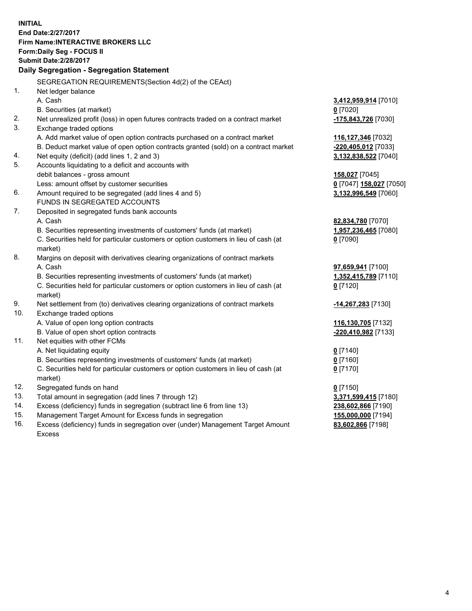**INITIAL End Date:2/27/2017 Firm Name:INTERACTIVE BROKERS LLC Form:Daily Seg - FOCUS II Submit Date:2/28/2017 Daily Segregation - Segregation Statement** SEGREGATION REQUIREMENTS(Section 4d(2) of the CEAct) 1. Net ledger balance A. Cash **3,412,959,914** [7010] B. Securities (at market) **0** [7020] 2. Net unrealized profit (loss) in open futures contracts traded on a contract market **-175,843,726** [7030] 3. Exchange traded options A. Add market value of open option contracts purchased on a contract market **116,127,346** [7032] B. Deduct market value of open option contracts granted (sold) on a contract market **-220,405,012** [7033] 4. Net equity (deficit) (add lines 1, 2 and 3) **3,132,838,522** [7040] 5. Accounts liquidating to a deficit and accounts with debit balances - gross amount **158,027** [7045] Less: amount offset by customer securities **0** [7047] **158,027** [7050] 6. Amount required to be segregated (add lines 4 and 5) **3,132,996,549** [7060] FUNDS IN SEGREGATED ACCOUNTS 7. Deposited in segregated funds bank accounts A. Cash **82,834,780** [7070] B. Securities representing investments of customers' funds (at market) **1,957,236,465** [7080] C. Securities held for particular customers or option customers in lieu of cash (at market) **0** [7090] 8. Margins on deposit with derivatives clearing organizations of contract markets A. Cash **97,659,941** [7100] B. Securities representing investments of customers' funds (at market) **1,352,415,789** [7110] C. Securities held for particular customers or option customers in lieu of cash (at market) **0** [7120] 9. Net settlement from (to) derivatives clearing organizations of contract markets **-14,267,283** [7130] 10. Exchange traded options A. Value of open long option contracts **116,130,705** [7132] B. Value of open short option contracts **-220,410,982** [7133] 11. Net equities with other FCMs A. Net liquidating equity **0** [7140] B. Securities representing investments of customers' funds (at market) **0** [7160] C. Securities held for particular customers or option customers in lieu of cash (at market) **0** [7170] 12. Segregated funds on hand **0** [7150] 13. Total amount in segregation (add lines 7 through 12) **3,371,599,415** [7180] 14. Excess (deficiency) funds in segregation (subtract line 6 from line 13) **238,602,866** [7190] 15. Management Target Amount for Excess funds in segregation **155,000,000** [7194] **83,602,866** [7198]

16. Excess (deficiency) funds in segregation over (under) Management Target Amount Excess